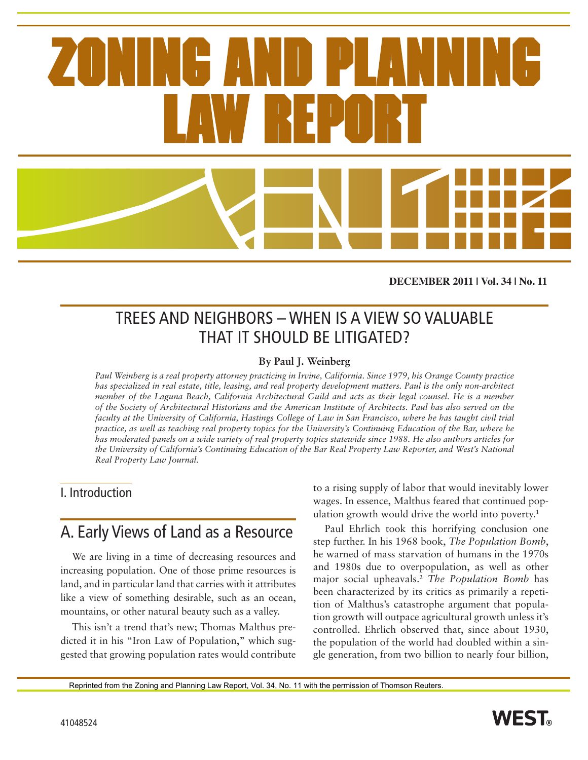**DECEMBER 2011 | Vol. 34 | No. 11**

## TREES AND NEIGHBORS – WHEN IS A VIEW SO VALUABLE THAT IT SHOULD BE LITIGATED?

#### **By Paul J. Weinberg**

*Paul Weinberg is a real property attorney practicing in Irvine, California. Since 1979, his Orange County practice has specialized in real estate, title, leasing, and real property development matters. Paul is the only non-architect member of the Laguna Beach, California Architectural Guild and acts as their legal counsel. He is a member of the Society of Architectural Historians and the American Institute of Architects. Paul has also served on the faculty at the University of California, Hastings College of Law in San Francisco, where he has taught civil trial practice, as well as teaching real property topics for the University's Continuing Education of the Bar, where he has moderated panels on a wide variety of real property topics statewide since 1988. He also authors articles for the University of California's Continuing Education of the Bar Real Property Law Reporter, and West's National Real Property Law Journal.*

#### I. Introduction

### A. Early Views of Land as a Resource

We are living in a time of decreasing resources and increasing population. One of those prime resources is land, and in particular land that carries with it attributes like a view of something desirable, such as an ocean, mountains, or other natural beauty such as a valley.

This isn't a trend that's new; Thomas Malthus predicted it in his "Iron Law of Population," which suggested that growing population rates would contribute to a rising supply of labor that would inevitably lower wages. In essence, Malthus feared that continued population growth would drive the world into poverty.<sup>1</sup>

Paul Ehrlich took this horrifying conclusion one step further. In his 1968 book, *The Population Bomb*, he warned of mass starvation of humans in the 1970s and 1980s due to overpopulation, as well as other major social upheavals.2 *The Population Bomb* has been characterized by its critics as primarily a repetition of Malthus's catastrophe argument that population growth will outpace agricultural growth unless it's controlled. Ehrlich observed that, since about 1930, the population of the world had doubled within a single generation, from two billion to nearly four billion,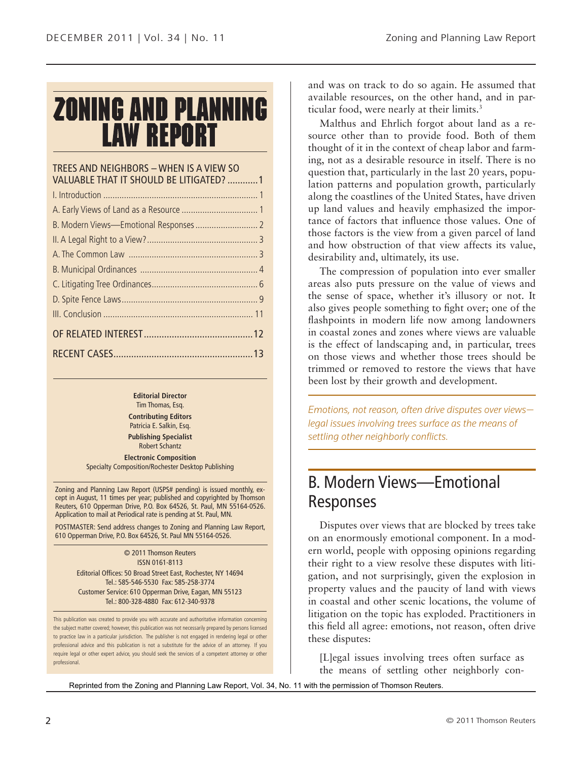# **ZONING AND PLANNING LAW REPORT**

#### TREES AND NEIGHBORS – WHEN IS A VIEW SO VALUABLE THAT IT SHOULD BE LITIGATED? ............1

#### **Editorial Director** Tim Thomas, Esq.

**Contributing Editors** Patricia E. Salkin, Esq. **Publishing Specialist**

Robert Schantz **Electronic Composition** Specialty Composition/Rochester Desktop Publishing

Zoning and Planning Law Report (USPS# pending) is issued monthly, except in August, 11 times per year; published and copyrighted by Thomson Reuters, 610 Opperman Drive, P.O. Box 64526, St. Paul, MN 55164-0526. Application to mail at Periodical rate is pending at St. Paul, MN.

POSTMASTER: Send address changes to Zoning and Planning Law Report, 610 Opperman Drive, P.O. Box 64526, St. Paul MN 55164-0526.

> © 2011 Thomson Reuters ISSN 0161-8113 Editorial Offices: 50 Broad Street East, Rochester, NY 14694 Tel.: 585-546-5530 Fax: 585-258-3774 Customer Service: 610 Opperman Drive, Eagan, MN 55123 Tel.: 800-328-4880 Fax: 612-340-9378

This publication was created to provide you with accurate and authoritative information concerning the subject matter covered; however, this publication was not necessarily prepared by persons licensed to practice law in a particular jurisdiction. The publisher is not engaged in rendering legal or other professional advice and this publication is not a substitute for the advice of an attorney. If you require legal or other expert advice, you should seek the services of a competent attorney or other professional.

and was on track to do so again. He assumed that available resources, on the other hand, and in particular food, were nearly at their limits.<sup>3</sup>

Malthus and Ehrlich forgot about land as a resource other than to provide food. Both of them thought of it in the context of cheap labor and farming, not as a desirable resource in itself. There is no question that, particularly in the last 20 years, population patterns and population growth, particularly along the coastlines of the United States, have driven up land values and heavily emphasized the importance of factors that influence those values. One of those factors is the view from a given parcel of land and how obstruction of that view affects its value, desirability and, ultimately, its use.

The compression of population into ever smaller areas also puts pressure on the value of views and the sense of space, whether it's illusory or not. It also gives people something to fight over; one of the flashpoints in modern life now among landowners in coastal zones and zones where views are valuable is the effect of landscaping and, in particular, trees on those views and whether those trees should be trimmed or removed to restore the views that have been lost by their growth and development.

*Emotions, not reason, often drive disputes over views legal issues involving trees surface as the means of settling other neighborly conflicts.*

### B. Modern Views—Emotional Responses

Disputes over views that are blocked by trees take on an enormously emotional component. In a modern world, people with opposing opinions regarding their right to a view resolve these disputes with litigation, and not surprisingly, given the explosion in property values and the paucity of land with views in coastal and other scenic locations, the volume of litigation on the topic has exploded. Practitioners in this field all agree: emotions, not reason, often drive these disputes:

[L]egal issues involving trees often surface as the means of settling other neighborly con-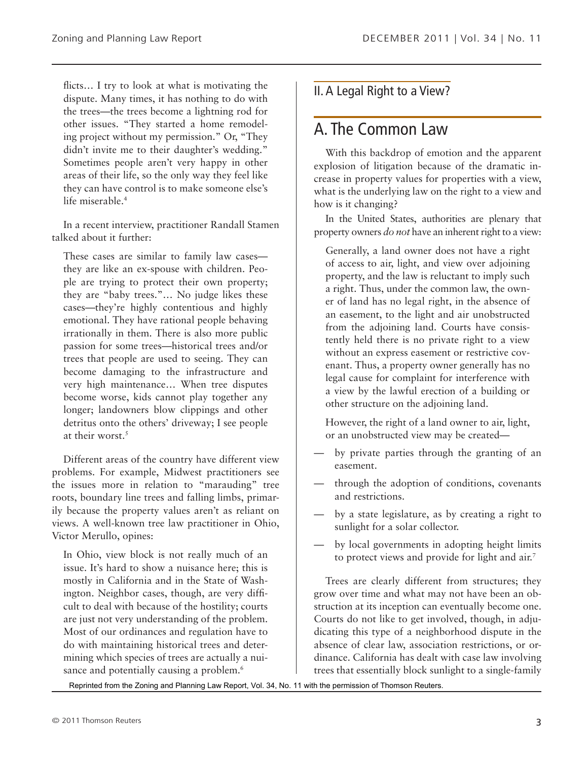flicts… I try to look at what is motivating the dispute. Many times, it has nothing to do with the trees—the trees become a lightning rod for other issues. "They started a home remodeling project without my permission." Or, "They didn't invite me to their daughter's wedding." Sometimes people aren't very happy in other areas of their life, so the only way they feel like they can have control is to make someone else's life miserable.4

In a recent interview, practitioner Randall Stamen talked about it further:

These cases are similar to family law cases they are like an ex-spouse with children. People are trying to protect their own property; they are "baby trees."… No judge likes these cases—they're highly contentious and highly emotional. They have rational people behaving irrationally in them. There is also more public passion for some trees—historical trees and/or trees that people are used to seeing. They can become damaging to the infrastructure and very high maintenance… When tree disputes become worse, kids cannot play together any longer; landowners blow clippings and other detritus onto the others' driveway; I see people at their worst.<sup>5</sup>

Different areas of the country have different view problems. For example, Midwest practitioners see the issues more in relation to "marauding" tree roots, boundary line trees and falling limbs, primarily because the property values aren't as reliant on views. A well-known tree law practitioner in Ohio, Victor Merullo, opines:

In Ohio, view block is not really much of an issue. It's hard to show a nuisance here; this is mostly in California and in the State of Washington. Neighbor cases, though, are very difficult to deal with because of the hostility; courts are just not very understanding of the problem. Most of our ordinances and regulation have to do with maintaining historical trees and determining which species of trees are actually a nuisance and potentially causing a problem.<sup>6</sup>

### II. A Legal Right to a View?

## A. The Common Law

With this backdrop of emotion and the apparent explosion of litigation because of the dramatic increase in property values for properties with a view, what is the underlying law on the right to a view and how is it changing?

In the United States, authorities are plenary that property owners *do not* have an inherent right to a view:

Generally, a land owner does not have a right of access to air, light, and view over adjoining property, and the law is reluctant to imply such a right. Thus, under the common law, the owner of land has no legal right, in the absence of an easement, to the light and air unobstructed from the adjoining land. Courts have consistently held there is no private right to a view without an express easement or restrictive covenant. Thus, a property owner generally has no legal cause for complaint for interference with a view by the lawful erection of a building or other structure on the adjoining land.

However, the right of a land owner to air, light, or an unobstructed view may be created—

- by private parties through the granting of an easement.
- through the adoption of conditions, covenants and restrictions.
- by a state legislature, as by creating a right to sunlight for a solar collector.
- by local governments in adopting height limits to protect views and provide for light and air.<sup>7</sup>

Trees are clearly different from structures; they grow over time and what may not have been an obstruction at its inception can eventually become one. Courts do not like to get involved, though, in adjudicating this type of a neighborhood dispute in the absence of clear law, association restrictions, or ordinance. California has dealt with case law involving trees that essentially block sunlight to a single-family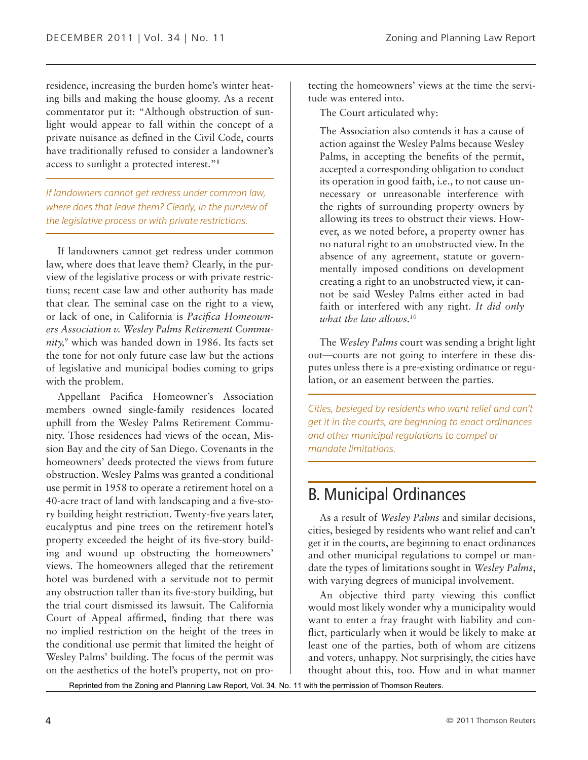residence, increasing the burden home's winter heating bills and making the house gloomy. As a recent commentator put it: "Although obstruction of sunlight would appear to fall within the concept of a private nuisance as defined in the Civil Code, courts have traditionally refused to consider a landowner's access to sunlight a protected interest."8

*If landowners cannot get redress under common law, where does that leave them? Clearly, in the purview of the legislative process or with private restrictions.*

If landowners cannot get redress under common law, where does that leave them? Clearly, in the purview of the legislative process or with private restrictions; recent case law and other authority has made that clear. The seminal case on the right to a view, or lack of one, in California is *Pacifica Homeowners Association v. Wesley Palms Retirement Community,9* which was handed down in 1986. Its facts set the tone for not only future case law but the actions of legislative and municipal bodies coming to grips with the problem.

Appellant Pacifica Homeowner's Association members owned single-family residences located uphill from the Wesley Palms Retirement Community. Those residences had views of the ocean, Mission Bay and the city of San Diego. Covenants in the homeowners' deeds protected the views from future obstruction. Wesley Palms was granted a conditional use permit in 1958 to operate a retirement hotel on a 40-acre tract of land with landscaping and a five-story building height restriction. Twenty-five years later, eucalyptus and pine trees on the retirement hotel's property exceeded the height of its five-story building and wound up obstructing the homeowners' views. The homeowners alleged that the retirement hotel was burdened with a servitude not to permit any obstruction taller than its five-story building, but the trial court dismissed its lawsuit. The California Court of Appeal affirmed, finding that there was no implied restriction on the height of the trees in the conditional use permit that limited the height of Wesley Palms' building. The focus of the permit was on the aesthetics of the hotel's property, not on protecting the homeowners' views at the time the servitude was entered into.

The Court articulated why:

The Association also contends it has a cause of action against the Wesley Palms because Wesley Palms, in accepting the benefits of the permit, accepted a corresponding obligation to conduct its operation in good faith, i.e., to not cause unnecessary or unreasonable interference with the rights of surrounding property owners by allowing its trees to obstruct their views. However, as we noted before, a property owner has no natural right to an unobstructed view. In the absence of any agreement, statute or governmentally imposed conditions on development creating a right to an unobstructed view, it cannot be said Wesley Palms either acted in bad faith or interfered with any right. *It did only what the law allows.10*

The *Wesley Palms* court was sending a bright light out—courts are not going to interfere in these disputes unless there is a pre-existing ordinance or regulation, or an easement between the parties.

*Cities, besieged by residents who want relief and can't get it in the courts, are beginning to enact ordinances and other municipal regulations to compel or mandate limitations.*

## B. Municipal Ordinances

As a result of *Wesley Palms* and similar decisions, cities, besieged by residents who want relief and can't get it in the courts, are beginning to enact ordinances and other municipal regulations to compel or mandate the types of limitations sought in *Wesley Palms*, with varying degrees of municipal involvement.

An objective third party viewing this conflict would most likely wonder why a municipality would want to enter a fray fraught with liability and conflict, particularly when it would be likely to make at least one of the parties, both of whom are citizens and voters, unhappy. Not surprisingly, the cities have thought about this, too. How and in what manner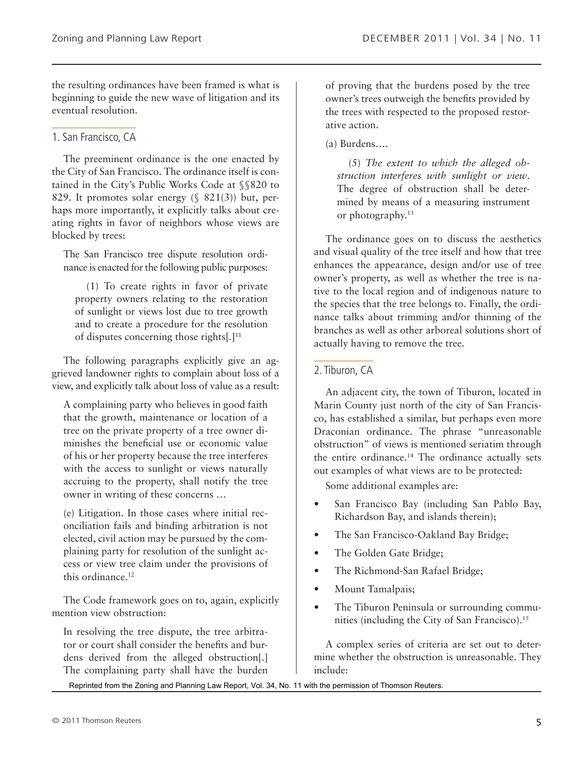the resulting ordinances have been framed is what is beginning to guide the new wave of litigation and its eventual resolution.

#### 1. San Francisco, CA

The preeminent ordinance is the one enacted by the City of San Francisco. The ordinance itself is contained in the City's Public Works Code at §§820 to 829. It promotes solar energy  $(\S$  821(3)) but, perhaps more importantly, it explicitly talks about creating rights in favor of neighbors whose views are blocked by trees:

The San Francisco tree dispute resolution ordinance is enacted for the following public purposes:

(1) To create rights in favor of private property owners relating to the restoration of sunlight or views lost due to tree growth and to create a procedure for the resolution of disputes concerning those rights[.]11

The following paragraphs explicitly give an aggrieved landowner rights to complain about loss of a view, and explicitly talk about loss of value as a result:

A complaining party who believes in good faith that the growth, maintenance or location of a tree on the private property of a tree owner diminishes the beneficial use or economic value of his or her property because the tree interferes with the access to sunlight or views naturally accruing to the property, shall notify the tree owner in writing of these concerns …

(e) Litigation. In those cases where initial reconciliation fails and binding arbitration is not elected, civil action may be pursued by the complaining party for resolution of the sunlight access or view tree claim under the provisions of this ordinance.<sup>12</sup>

The Code framework goes on to, again, explicitly mention view obstruction:

In resolving the tree dispute, the tree arbitrator or court shall consider the benefits and burdens derived from the alleged obstruction[.] The complaining party shall have the burden

of proving that the burdens posed by the tree owner's trees outweigh the benefits provided by the trees with respected to the proposed restorative action.

(a) Burdens….

(5) *The extent to which the alleged obstruction interferes with sunlight or view*. The degree of obstruction shall be determined by means of a measuring instrument or photography.13

The ordinance goes on to discuss the aesthetics and visual quality of the tree itself and how that tree enhances the appearance, design and/or use of tree owner's property, as well as whether the tree is native to the local region and of indigenous nature to the species that the tree belongs to. Finally, the ordinance talks about trimming and/or thinning of the branches as well as other arboreal solutions short of actually having to remove the tree.

#### 2. Tiburon, CA

An adjacent city, the town of Tiburon, located in Marin County just north of the city of San Francisco, has established a similar, but perhaps even more Draconian ordinance. The phrase "unreasonable obstruction" of views is mentioned seriatim through the entire ordinance.14 The ordinance actually sets out examples of what views are to be protected:

Some additional examples are:

- San Francisco Bay (including San Pablo Bay, Richardson Bay, and islands therein);
- The San Francisco-Oakland Bay Bridge;
- The Golden Gate Bridge;
- The Richmond-San Rafael Bridge;
- Mount Tamalpais;
- The Tiburon Peninsula or surrounding communities (including the City of San Francisco).<sup>15</sup>

A complex series of criteria are set out to determine whether the obstruction is unreasonable. They include: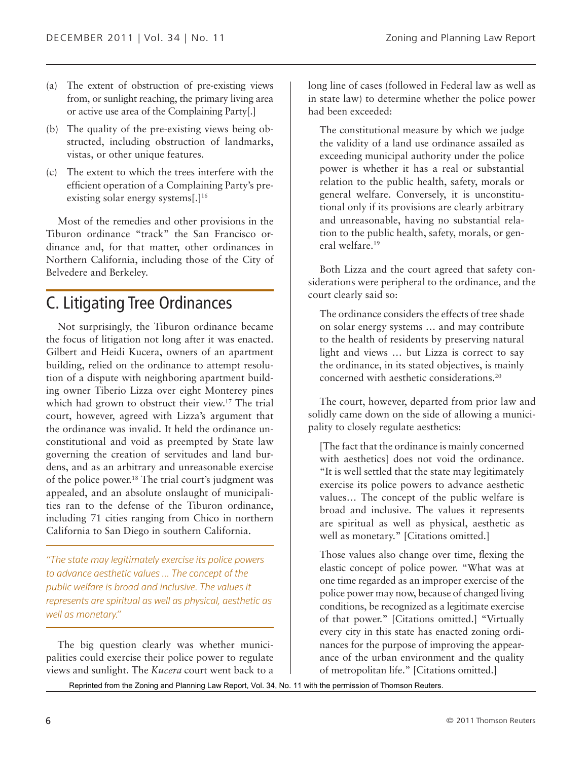- (a) The extent of obstruction of pre-existing views from, or sunlight reaching, the primary living area or active use area of the Complaining Party[.]
- (b) The quality of the pre-existing views being obstructed, including obstruction of landmarks, vistas, or other unique features.
- (c) The extent to which the trees interfere with the efficient operation of a Complaining Party's preexisting solar energy systems[.]<sup>16</sup>

Most of the remedies and other provisions in the Tiburon ordinance "track" the San Francisco ordinance and, for that matter, other ordinances in Northern California, including those of the City of Belvedere and Berkeley.

### C. Litigating Tree Ordinances

Not surprisingly, the Tiburon ordinance became the focus of litigation not long after it was enacted. Gilbert and Heidi Kucera, owners of an apartment building, relied on the ordinance to attempt resolution of a dispute with neighboring apartment building owner Tiberio Lizza over eight Monterey pines which had grown to obstruct their view.<sup>17</sup> The trial court, however, agreed with Lizza's argument that the ordinance was invalid. It held the ordinance unconstitutional and void as preempted by State law governing the creation of servitudes and land burdens, and as an arbitrary and unreasonable exercise of the police power.18 The trial court's judgment was appealed, and an absolute onslaught of municipalities ran to the defense of the Tiburon ordinance, including 71 cities ranging from Chico in northern California to San Diego in southern California.

*"The state may legitimately exercise its police powers to advance aesthetic values … The concept of the public welfare is broad and inclusive. The values it represents are spiritual as well as physical, aesthetic as well as monetary."*

The big question clearly was whether municipalities could exercise their police power to regulate views and sunlight. The *Kucera* court went back to a long line of cases (followed in Federal law as well as in state law) to determine whether the police power had been exceeded:

The constitutional measure by which we judge the validity of a land use ordinance assailed as exceeding municipal authority under the police power is whether it has a real or substantial relation to the public health, safety, morals or general welfare. Conversely, it is unconstitutional only if its provisions are clearly arbitrary and unreasonable, having no substantial relation to the public health, safety, morals, or general welfare.19

Both Lizza and the court agreed that safety considerations were peripheral to the ordinance, and the court clearly said so:

The ordinance considers the effects of tree shade on solar energy systems … and may contribute to the health of residents by preserving natural light and views … but Lizza is correct to say the ordinance, in its stated objectives, is mainly concerned with aesthetic considerations.20

The court, however, departed from prior law and solidly came down on the side of allowing a municipality to closely regulate aesthetics:

[The fact that the ordinance is mainly concerned with aesthetics] does not void the ordinance. "It is well settled that the state may legitimately exercise its police powers to advance aesthetic values… The concept of the public welfare is broad and inclusive. The values it represents are spiritual as well as physical, aesthetic as well as monetary." [Citations omitted.]

Those values also change over time, flexing the elastic concept of police power. "What was at one time regarded as an improper exercise of the police power may now, because of changed living conditions, be recognized as a legitimate exercise of that power." [Citations omitted.] "Virtually every city in this state has enacted zoning ordinances for the purpose of improving the appearance of the urban environment and the quality of metropolitan life." [Citations omitted.]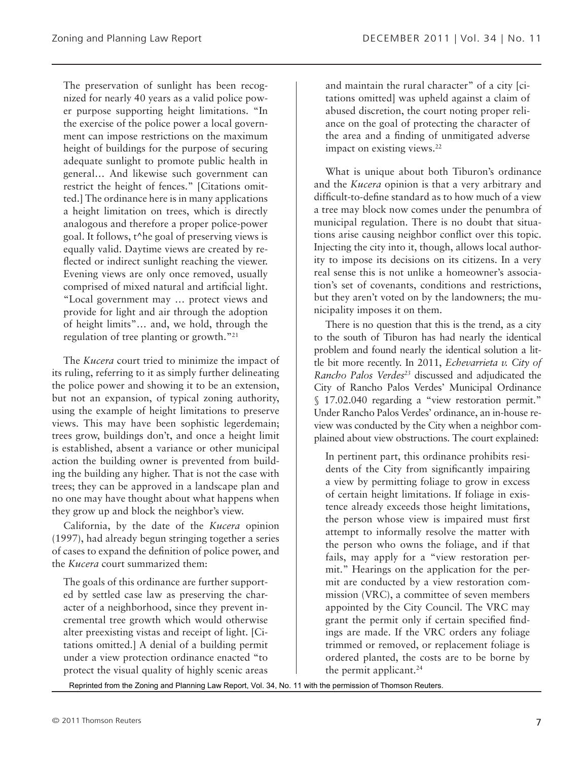The preservation of sunlight has been recognized for nearly 40 years as a valid police power purpose supporting height limitations. "In the exercise of the police power a local government can impose restrictions on the maximum height of buildings for the purpose of securing adequate sunlight to promote public health in general… And likewise such government can restrict the height of fences." [Citations omitted.] The ordinance here is in many applications a height limitation on trees, which is directly analogous and therefore a proper police-power goal. It follows, t^he goal of preserving views is equally valid. Daytime views are created by reflected or indirect sunlight reaching the viewer. Evening views are only once removed, usually comprised of mixed natural and artificial light. "Local government may … protect views and provide for light and air through the adoption of height limits"… and, we hold, through the regulation of tree planting or growth."21

The *Kucera* court tried to minimize the impact of its ruling, referring to it as simply further delineating the police power and showing it to be an extension, but not an expansion, of typical zoning authority, using the example of height limitations to preserve views. This may have been sophistic legerdemain; trees grow, buildings don't, and once a height limit is established, absent a variance or other municipal action the building owner is prevented from building the building any higher. That is not the case with trees; they can be approved in a landscape plan and no one may have thought about what happens when they grow up and block the neighbor's view.

California, by the date of the *Kucera* opinion (1997), had already begun stringing together a series of cases to expand the definition of police power, and the *Kucera* court summarized them:

The goals of this ordinance are further supported by settled case law as preserving the character of a neighborhood, since they prevent incremental tree growth which would otherwise alter preexisting vistas and receipt of light. [Citations omitted.] A denial of a building permit under a view protection ordinance enacted "to protect the visual quality of highly scenic areas

and maintain the rural character" of a city [citations omitted] was upheld against a claim of abused discretion, the court noting proper reliance on the goal of protecting the character of the area and a finding of unmitigated adverse impact on existing views.<sup>22</sup>

What is unique about both Tiburon's ordinance and the *Kucera* opinion is that a very arbitrary and difficult-to-define standard as to how much of a view a tree may block now comes under the penumbra of municipal regulation. There is no doubt that situations arise causing neighbor conflict over this topic. Injecting the city into it, though, allows local authority to impose its decisions on its citizens. In a very real sense this is not unlike a homeowner's association's set of covenants, conditions and restrictions, but they aren't voted on by the landowners; the municipality imposes it on them.

There is no question that this is the trend, as a city to the south of Tiburon has had nearly the identical problem and found nearly the identical solution a little bit more recently. In 2011, *Echevarrieta v. City of Rancho Palos Verdes23* discussed and adjudicated the City of Rancho Palos Verdes' Municipal Ordinance § 17.02.040 regarding a "view restoration permit." Under Rancho Palos Verdes' ordinance, an in-house review was conducted by the City when a neighbor complained about view obstructions. The court explained:

In pertinent part, this ordinance prohibits residents of the City from significantly impairing a view by permitting foliage to grow in excess of certain height limitations. If foliage in existence already exceeds those height limitations, the person whose view is impaired must first attempt to informally resolve the matter with the person who owns the foliage, and if that fails, may apply for a "view restoration permit." Hearings on the application for the permit are conducted by a view restoration commission (VRC), a committee of seven members appointed by the City Council. The VRC may grant the permit only if certain specified findings are made. If the VRC orders any foliage trimmed or removed, or replacement foliage is ordered planted, the costs are to be borne by the permit applicant.<sup>24</sup>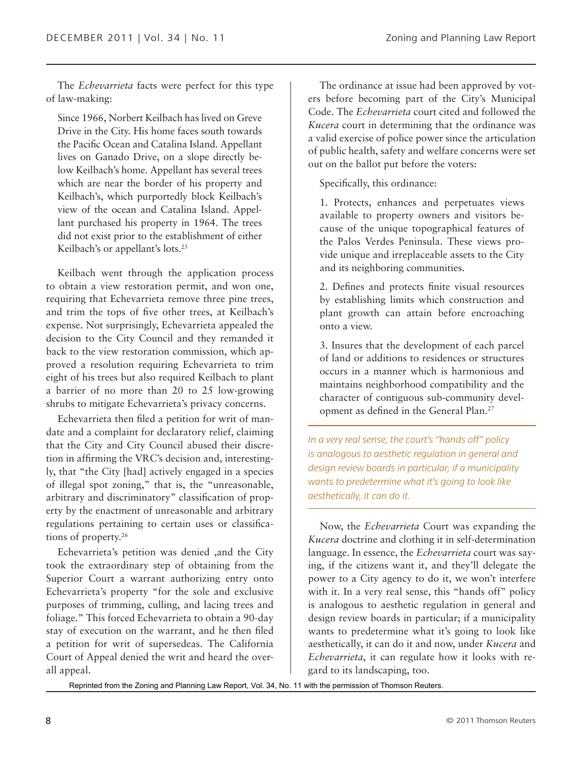The *Echevarrieta* facts were perfect for this type of law-making:

Since 1966, Norbert Keilbach has lived on Greve Drive in the City. His home faces south towards the Pacific Ocean and Catalina Island. Appellant lives on Ganado Drive, on a slope directly below Keilbach's home. Appellant has several trees which are near the border of his property and Keilbach's, which purportedly block Keilbach's view of the ocean and Catalina Island. Appellant purchased his property in 1964. The trees did not exist prior to the establishment of either Keilbach's or appellant's lots.25

Keilbach went through the application process to obtain a view restoration permit, and won one, requiring that Echevarrieta remove three pine trees, and trim the tops of five other trees, at Keilbach's expense. Not surprisingly, Echevarrieta appealed the decision to the City Council and they remanded it back to the view restoration commission, which approved a resolution requiring Echevarrieta to trim eight of his trees but also required Keilbach to plant a barrier of no more than 20 to 25 low-growing shrubs to mitigate Echevarrieta's privacy concerns.

Echevarrieta then filed a petition for writ of mandate and a complaint for declaratory relief, claiming that the City and City Council abused their discretion in affirming the VRC's decision and, interestingly, that "the City [had] actively engaged in a species of illegal spot zoning," that is, the "unreasonable, arbitrary and discriminatory" classification of property by the enactment of unreasonable and arbitrary regulations pertaining to certain uses or classifications of property.26

Echevarrieta's petition was denied ,and the City took the extraordinary step of obtaining from the Superior Court a warrant authorizing entry onto Echevarrieta's property "for the sole and exclusive purposes of trimming, culling, and lacing trees and foliage." This forced Echevarrieta to obtain a 90-day stay of execution on the warrant, and he then filed a petition for writ of supersedeas. The California Court of Appeal denied the writ and heard the overall appeal.

The ordinance at issue had been approved by voters before becoming part of the City's Municipal Code. The *Echevarrieta* court cited and followed the *Kucera* court in determining that the ordinance was a valid exercise of police power since the articulation of public health, safety and welfare concerns were set out on the ballot put before the voters:

Specifically, this ordinance:

1. Protects, enhances and perpetuates views available to property owners and visitors because of the unique topographical features of the Palos Verdes Peninsula. These views provide unique and irreplaceable assets to the City and its neighboring communities.

2. Defines and protects finite visual resources by establishing limits which construction and plant growth can attain before encroaching onto a view.

3. Insures that the development of each parcel of land or additions to residences or structures occurs in a manner which is harmonious and maintains neighborhood compatibility and the character of contiguous sub-community development as defined in the General Plan.27

*In a very real sense, the court's "hands off" policy is analogous to aesthetic regulation in general and design review boards in particular; if a municipality wants to predetermine what it's going to look like aesthetically, it can do it.*

Now, the *Echevarrieta* Court was expanding the *Kucera* doctrine and clothing it in self-determination language. In essence, the *Echevarrieta* court was saying, if the citizens want it, and they'll delegate the power to a City agency to do it, we won't interfere with it. In a very real sense, this "hands off" policy is analogous to aesthetic regulation in general and design review boards in particular; if a municipality wants to predetermine what it's going to look like aesthetically, it can do it and now, under *Kucera* and *Echevarrieta*, it can regulate how it looks with regard to its landscaping, too.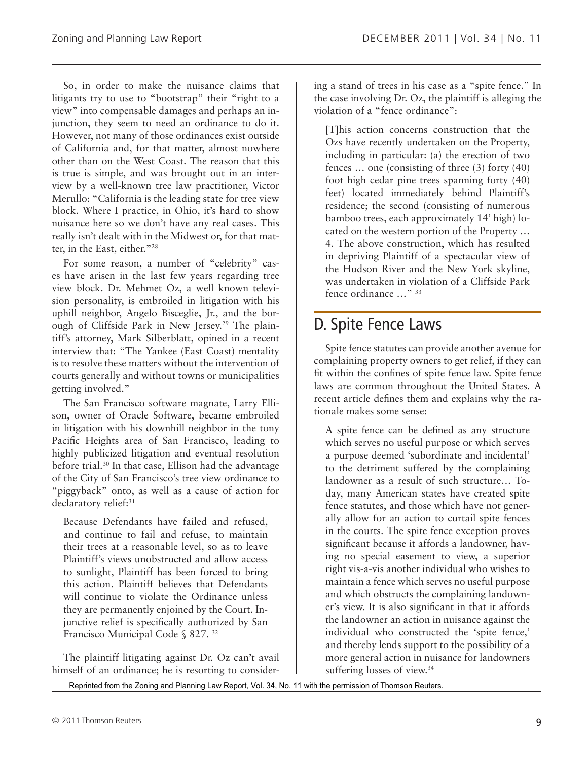So, in order to make the nuisance claims that litigants try to use to "bootstrap" their "right to a view" into compensable damages and perhaps an injunction, they seem to need an ordinance to do it. However, not many of those ordinances exist outside of California and, for that matter, almost nowhere other than on the West Coast. The reason that this is true is simple, and was brought out in an interview by a well-known tree law practitioner, Victor Merullo: "California is the leading state for tree view block. Where I practice, in Ohio, it's hard to show nuisance here so we don't have any real cases. This really isn't dealt with in the Midwest or, for that matter, in the East, either."28

For some reason, a number of "celebrity" cases have arisen in the last few years regarding tree view block. Dr. Mehmet Oz, a well known television personality, is embroiled in litigation with his uphill neighbor, Angelo Bisceglie, Jr., and the borough of Cliffside Park in New Jersey.<sup>29</sup> The plaintiff's attorney, Mark Silberblatt, opined in a recent interview that: "The Yankee (East Coast) mentality is to resolve these matters without the intervention of courts generally and without towns or municipalities getting involved."

The San Francisco software magnate, Larry Ellison, owner of Oracle Software, became embroiled in litigation with his downhill neighbor in the tony Pacific Heights area of San Francisco, leading to highly publicized litigation and eventual resolution before trial.30 In that case, Ellison had the advantage of the City of San Francisco's tree view ordinance to "piggyback" onto, as well as a cause of action for declaratory relief:<sup>31</sup>

Because Defendants have failed and refused, and continue to fail and refuse, to maintain their trees at a reasonable level, so as to leave Plaintiff's views unobstructed and allow access to sunlight, Plaintiff has been forced to bring this action. Plaintiff believes that Defendants will continue to violate the Ordinance unless they are permanently enjoined by the Court. Injunctive relief is specifically authorized by San Francisco Municipal Code § 827. 32

The plaintiff litigating against Dr. Oz can't avail himself of an ordinance; he is resorting to considering a stand of trees in his case as a "spite fence." In the case involving Dr. Oz, the plaintiff is alleging the violation of a "fence ordinance":

[T]his action concerns construction that the Ozs have recently undertaken on the Property, including in particular: (a) the erection of two fences … one (consisting of three (3) forty (40) foot high cedar pine trees spanning forty (40) feet) located immediately behind Plaintiff's residence; the second (consisting of numerous bamboo trees, each approximately 14' high) located on the western portion of the Property … 4. The above construction, which has resulted in depriving Plaintiff of a spectacular view of the Hudson River and the New York skyline, was undertaken in violation of a Cliffside Park fence ordinance …" 33

### D. Spite Fence Laws

Spite fence statutes can provide another avenue for complaining property owners to get relief, if they can fit within the confines of spite fence law. Spite fence laws are common throughout the United States. A recent article defines them and explains why the rationale makes some sense:

A spite fence can be defined as any structure which serves no useful purpose or which serves a purpose deemed 'subordinate and incidental' to the detriment suffered by the complaining landowner as a result of such structure… Today, many American states have created spite fence statutes, and those which have not generally allow for an action to curtail spite fences in the courts. The spite fence exception proves significant because it affords a landowner, having no special easement to view, a superior right vis-a-vis another individual who wishes to maintain a fence which serves no useful purpose and which obstructs the complaining landowner's view. It is also significant in that it affords the landowner an action in nuisance against the individual who constructed the 'spite fence,' and thereby lends support to the possibility of a more general action in nuisance for landowners suffering losses of view.<sup>34</sup>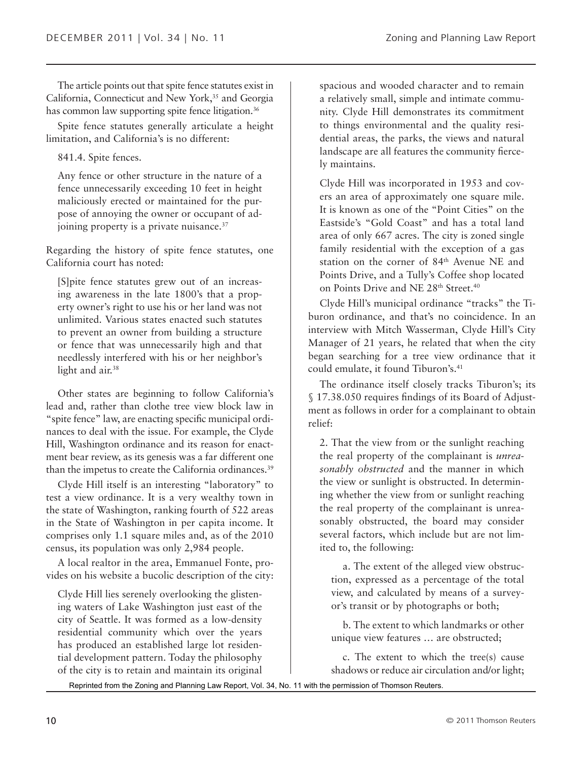The article points out that spite fence statutes exist in California, Connecticut and New York,<sup>35</sup> and Georgia has common law supporting spite fence litigation.<sup>36</sup>

Spite fence statutes generally articulate a height limitation, and California's is no different:

841.4. Spite fences.

Any fence or other structure in the nature of a fence unnecessarily exceeding 10 feet in height maliciously erected or maintained for the purpose of annoying the owner or occupant of adjoining property is a private nuisance.<sup>37</sup>

Regarding the history of spite fence statutes, one California court has noted:

[S]pite fence statutes grew out of an increasing awareness in the late 1800's that a property owner's right to use his or her land was not unlimited. Various states enacted such statutes to prevent an owner from building a structure or fence that was unnecessarily high and that needlessly interfered with his or her neighbor's light and air.<sup>38</sup>

Other states are beginning to follow California's lead and, rather than clothe tree view block law in "spite fence" law, are enacting specific municipal ordinances to deal with the issue. For example, the Clyde Hill, Washington ordinance and its reason for enactment bear review, as its genesis was a far different one than the impetus to create the California ordinances.<sup>39</sup>

Clyde Hill itself is an interesting "laboratory" to test a view ordinance. It is a very wealthy town in the state of Washington, ranking fourth of 522 areas in the State of Washington in per capita income. It comprises only 1.1 square miles and, as of the 2010 census, its population was only 2,984 people.

A local realtor in the area, Emmanuel Fonte, provides on his website a bucolic description of the city:

Clyde Hill lies serenely overlooking the glistening waters of Lake Washington just east of the city of Seattle. It was formed as a low-density residential community which over the years has produced an established large lot residential development pattern. Today the philosophy of the city is to retain and maintain its original

spacious and wooded character and to remain a relatively small, simple and intimate community. Clyde Hill demonstrates its commitment to things environmental and the quality residential areas, the parks, the views and natural landscape are all features the community fiercely maintains.

Clyde Hill was incorporated in 1953 and covers an area of approximately one square mile. It is known as one of the "Point Cities" on the Eastside's "Gold Coast" and has a total land area of only 667 acres. The city is zoned single family residential with the exception of a gas station on the corner of 84<sup>th</sup> Avenue NE and Points Drive, and a Tully's Coffee shop located on Points Drive and NE 28<sup>th</sup> Street.<sup>40</sup>

Clyde Hill's municipal ordinance "tracks" the Tiburon ordinance, and that's no coincidence. In an interview with Mitch Wasserman, Clyde Hill's City Manager of 21 years, he related that when the city began searching for a tree view ordinance that it could emulate, it found Tiburon's.<sup>41</sup>

The ordinance itself closely tracks Tiburon's; its § 17.38.050 requires findings of its Board of Adjustment as follows in order for a complainant to obtain relief:

2. That the view from or the sunlight reaching the real property of the complainant is *unreasonably obstructed* and the manner in which the view or sunlight is obstructed. In determining whether the view from or sunlight reaching the real property of the complainant is unreasonably obstructed, the board may consider several factors, which include but are not limited to, the following:

a. The extent of the alleged view obstruction, expressed as a percentage of the total view, and calculated by means of a surveyor's transit or by photographs or both;

b. The extent to which landmarks or other unique view features … are obstructed;

c. The extent to which the tree(s) cause shadows or reduce air circulation and/or light;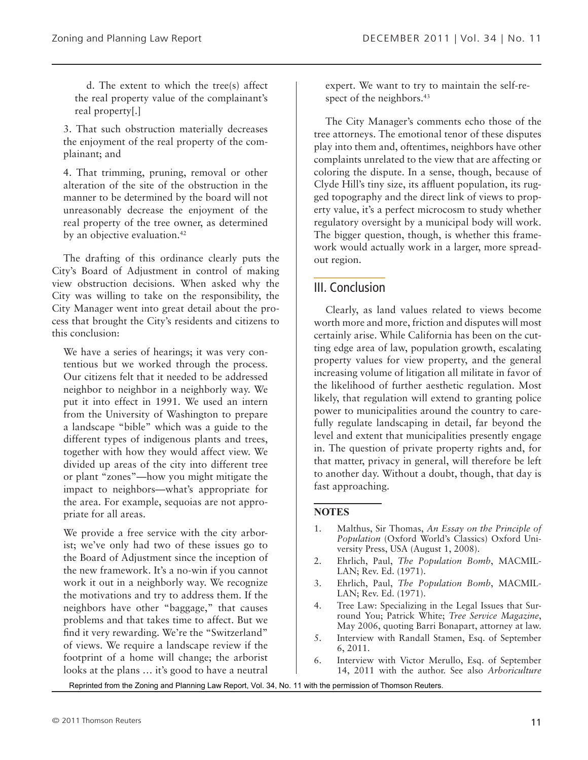d. The extent to which the tree(s) affect the real property value of the complainant's real property[.]

3. That such obstruction materially decreases the enjoyment of the real property of the complainant; and

4. That trimming, pruning, removal or other alteration of the site of the obstruction in the manner to be determined by the board will not unreasonably decrease the enjoyment of the real property of the tree owner, as determined by an objective evaluation.<sup>42</sup>

The drafting of this ordinance clearly puts the City's Board of Adjustment in control of making view obstruction decisions. When asked why the City was willing to take on the responsibility, the City Manager went into great detail about the process that brought the City's residents and citizens to this conclusion:

We have a series of hearings; it was very contentious but we worked through the process. Our citizens felt that it needed to be addressed neighbor to neighbor in a neighborly way. We put it into effect in 1991. We used an intern from the University of Washington to prepare a landscape "bible" which was a guide to the different types of indigenous plants and trees, together with how they would affect view. We divided up areas of the city into different tree or plant "zones"—how you might mitigate the impact to neighbors—what's appropriate for the area. For example, sequoias are not appropriate for all areas.

We provide a free service with the city arborist; we've only had two of these issues go to the Board of Adjustment since the inception of the new framework. It's a no-win if you cannot work it out in a neighborly way. We recognize the motivations and try to address them. If the neighbors have other "baggage," that causes problems and that takes time to affect. But we find it very rewarding. We're the "Switzerland" of views. We require a landscape review if the footprint of a home will change; the arborist looks at the plans … it's good to have a neutral

expert. We want to try to maintain the self-respect of the neighbors.<sup>43</sup>

The City Manager's comments echo those of the tree attorneys. The emotional tenor of these disputes play into them and, oftentimes, neighbors have other complaints unrelated to the view that are affecting or coloring the dispute. In a sense, though, because of Clyde Hill's tiny size, its affluent population, its rugged topography and the direct link of views to property value, it's a perfect microcosm to study whether regulatory oversight by a municipal body will work. The bigger question, though, is whether this framework would actually work in a larger, more spreadout region.

### III. Conclusion

Clearly, as land values related to views become worth more and more, friction and disputes will most certainly arise. While California has been on the cutting edge area of law, population growth, escalating property values for view property, and the general increasing volume of litigation all militate in favor of the likelihood of further aesthetic regulation. Most likely, that regulation will extend to granting police power to municipalities around the country to carefully regulate landscaping in detail, far beyond the level and extent that municipalities presently engage in. The question of private property rights and, for that matter, privacy in general, will therefore be left to another day. Without a doubt, though, that day is fast approaching.

#### **Notes**

- 1. Malthus, Sir Thomas, *An Essay on the Principle of Population* (Oxford World's Classics) Oxford University Press, USA (August 1, 2008).
- 2. Ehrlich, Paul, *The Population Bomb*, MACMIL-LAN; Rev. Ed. (1971).
- 3. Ehrlich, Paul, *The Population Bomb*, MACMIL-LAN; Rev. Ed. (1971).
- 4. Tree Law: Specializing in the Legal Issues that Surround You; Patrick White; *Tree Service Magazine*, May 2006, quoting Barri Bonapart, attorney at law.
- 5. Interview with Randall Stamen, Esq. of September 6, 2011.
- 6. Interview with Victor Merullo, Esq. of September 14, 2011 with the author. See also *Arboriculture*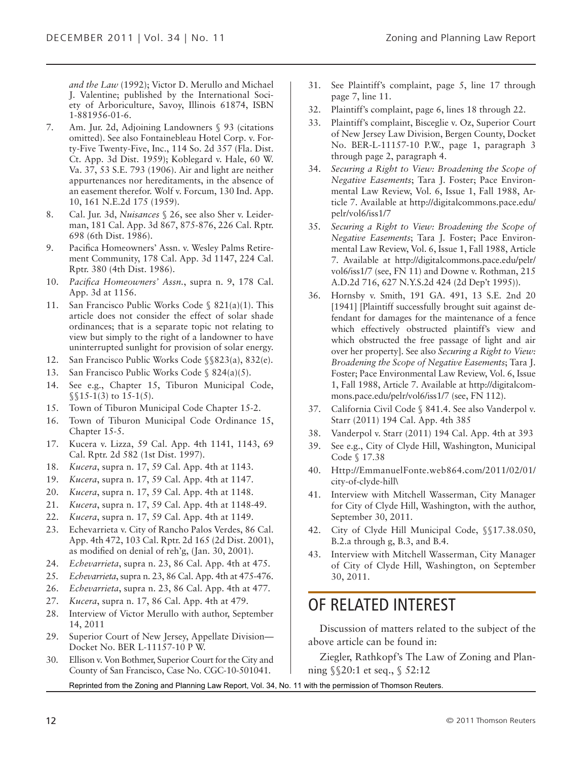*and the Law* (1992); Victor D. Merullo and Michael J. Valentine; published by the International Society of Arboriculture, Savoy, Illinois 61874, ISBN 1-881956-01-6.

- 7. Am. Jur. 2d, Adjoining Landowners § 93 (citations omitted). See also Fontainebleau Hotel Corp. v. Forty-Five Twenty-Five, Inc., 114 So. 2d 357 (Fla. Dist. Ct. App. 3d Dist. 1959); Koblegard v. Hale, 60 W. Va. 37, 53 S.E. 793 (1906). Air and light are neither appurtenances nor hereditaments, in the absence of an easement therefor. Wolf v. Forcum, 130 Ind. App. 10, 161 N.E.2d 175 (1959).
- 8. Cal. Jur. 3d, *Nuisances* § 26, see also Sher v. Leiderman, 181 Cal. App. 3d 867, 875-876, 226 Cal. Rptr. 698 (6th Dist. 1986).
- 9. Pacifica Homeowners' Assn. v. Wesley Palms Retirement Community, 178 Cal. App. 3d 1147, 224 Cal. Rptr. 380 (4th Dist. 1986).
- 10. *Pacifica Homeowners' Assn.*, supra n. 9, 178 Cal. App. 3d at 1156.
- 11. San Francisco Public Works Code § 821(a)(1). This article does not consider the effect of solar shade ordinances; that is a separate topic not relating to view but simply to the right of a landowner to have uninterrupted sunlight for provision of solar energy.
- 12. San Francisco Public Works Code §§823(a), 832(e).
- 13. San Francisco Public Works Code § 824(a)(5).
- 14. See e.g., Chapter 15, Tiburon Municipal Code,  $\S$ [15-1(3) to 15-1(5).
- 15. Town of Tiburon Municipal Code Chapter 15-2.
- 16. Town of Tiburon Municipal Code Ordinance 15, Chapter 15-5.
- 17. Kucera v. Lizza, 59 Cal. App. 4th 1141, 1143, 69 Cal. Rptr. 2d 582 (1st Dist. 1997).
- 18. *Kucera*, supra n. 17, 59 Cal. App. 4th at 1143.
- 19. *Kucera*, supra n. 17, 59 Cal. App. 4th at 1147.
- 20. *Kucera*, supra n. 17, 59 Cal. App. 4th at 1148.
- 21. *Kucera*, supra n. 17, 59 Cal. App. 4th at 1148-49.
- 22. *Kucera*, supra n. 17, 59 Cal. App. 4th at 1149.
- 23. Echevarrieta v. City of Rancho Palos Verdes, 86 Cal. App. 4th 472, 103 Cal. Rptr. 2d 165 (2d Dist. 2001), as modified on denial of reh'g, (Jan. 30, 2001).
- 24. *Echevarrieta*, supra n. 23, 86 Cal. App. 4th at 475.
- 25. *Echevarrieta*, supra n. 23, 86 Cal. App. 4th at 475-476.
- 26. *Echevarrieta*, supra n. 23, 86 Cal. App. 4th at 477.
- 27. *Kucera*, supra n. 17, 86 Cal. App. 4th at 479.
- 28. Interview of Victor Merullo with author, September 14, 2011
- 29. Superior Court of New Jersey, Appellate Division— Docket No. BER L-11157-10 P W.
- 30. Ellison v. Von Bothmer, Superior Court for the City and County of San Francisco, Case No. CGC-10-501041.
- 31. See Plaintiff's complaint, page 5, line 17 through page 7, line 11.
- 32. Plaintiff's complaint, page 6, lines 18 through 22.
- 33. Plaintiff's complaint, Bisceglie v. Oz, Superior Court of New Jersey Law Division, Bergen County, Docket No. BER-L-11157-10 P.W., page 1, paragraph 3 through page 2, paragraph 4.
- 34. *Securing a Right to View: Broadening the Scope of Negative Easements*; Tara J. Foster; Pace Environmental Law Review, Vol. 6, Issue 1, Fall 1988, Article 7. Available at http://digitalcommons.pace.edu/ pelr/vol6/iss1/7
- 35. *Securing a Right to View: Broadening the Scope of Negative Easements*; Tara J. Foster; Pace Environmental Law Review, Vol. 6, Issue 1, Fall 1988, Article 7. Available at http://digitalcommons.pace.edu/pelr/ vol6/iss1/7 (see, FN 11) and Downe v. Rothman, 215 A.D.2d 716, 627 N.Y.S.2d 424 (2d Dep't 1995)).
- 36. Hornsby v. Smith, 191 GA. 491, 13 S.E. 2nd 20 [1941] [Plaintiff successfully brought suit against defendant for damages for the maintenance of a fence which effectively obstructed plaintiff's view and which obstructed the free passage of light and air over her property]. See also *Securing a Right to View: Broadening the Scope of Negative Easements*; Tara J. Foster; Pace Environmental Law Review, Vol. 6, Issue 1, Fall 1988, Article 7. Available at http://digitalcommons.pace.edu/pelr/vol6/iss1/7 (see, FN 112).
- 37. California Civil Code § 841.4. See also Vanderpol v. Starr (2011) 194 Cal. App. 4th 385
- 38. Vanderpol v. Starr (2011) 194 Cal. App. 4th at 393
- 39. See e.g., City of Clyde Hill, Washington, Municipal Code § 17.38
- 40. Http://EmmanuelFonte.web864.com/2011/02/01/ city-of-clyde-hill\
- 41. Interview with Mitchell Wasserman, City Manager for City of Clyde Hill, Washington, with the author, September 30, 2011.
- 42. City of Clyde Hill Municipal Code, §§17.38.050, B.2.a through g, B.3, and B.4.
- 43. Interview with Mitchell Wasserman, City Manager of City of Clyde Hill, Washington, on September 30, 2011.

### OF RELATED INTEREST

Discussion of matters related to the subject of the above article can be found in:

Ziegler, Rathkopf's The Law of Zoning and Planning §§20:1 et seq., § 52:12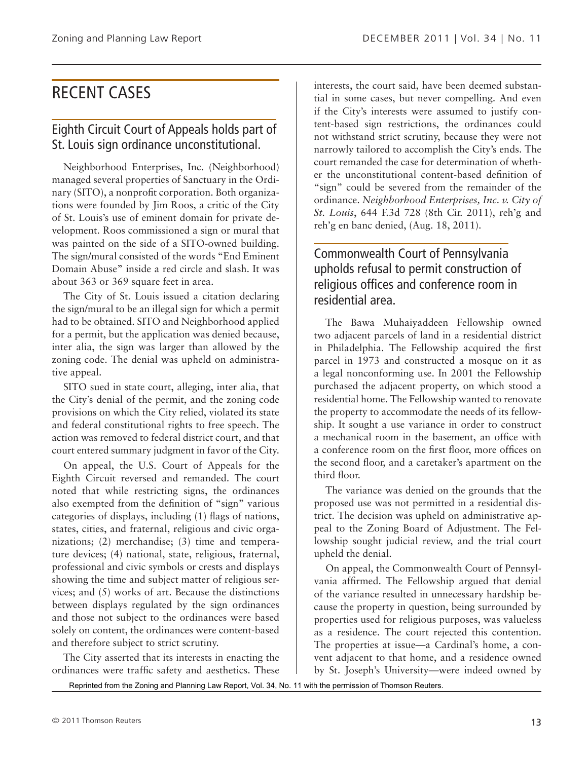### RECENT CASES

### Eighth Circuit Court of Appeals holds part of St. Louis sign ordinance unconstitutional.

Neighborhood Enterprises, Inc. (Neighborhood) managed several properties of Sanctuary in the Ordinary (SITO), a nonprofit corporation. Both organizations were founded by Jim Roos, a critic of the City of St. Louis's use of eminent domain for private development. Roos commissioned a sign or mural that was painted on the side of a SITO-owned building. The sign/mural consisted of the words "End Eminent Domain Abuse" inside a red circle and slash. It was about 363 or 369 square feet in area.

The City of St. Louis issued a citation declaring the sign/mural to be an illegal sign for which a permit had to be obtained. SITO and Neighborhood applied for a permit, but the application was denied because, inter alia, the sign was larger than allowed by the zoning code. The denial was upheld on administrative appeal.

SITO sued in state court, alleging, inter alia, that the City's denial of the permit, and the zoning code provisions on which the City relied, violated its state and federal constitutional rights to free speech. The action was removed to federal district court, and that court entered summary judgment in favor of the City.

On appeal, the U.S. Court of Appeals for the Eighth Circuit reversed and remanded. The court noted that while restricting signs, the ordinances also exempted from the definition of "sign" various categories of displays, including (1) flags of nations, states, cities, and fraternal, religious and civic organizations; (2) merchandise; (3) time and temperature devices; (4) national, state, religious, fraternal, professional and civic symbols or crests and displays showing the time and subject matter of religious services; and (5) works of art. Because the distinctions between displays regulated by the sign ordinances and those not subject to the ordinances were based solely on content, the ordinances were content-based and therefore subject to strict scrutiny.

The City asserted that its interests in enacting the ordinances were traffic safety and aesthetics. These interests, the court said, have been deemed substantial in some cases, but never compelling. And even if the City's interests were assumed to justify content-based sign restrictions, the ordinances could not withstand strict scrutiny, because they were not narrowly tailored to accomplish the City's ends. The court remanded the case for determination of whether the unconstitutional content-based definition of "sign" could be severed from the remainder of the ordinance. *Neighborhood Enterprises, Inc. v. City of St. Louis*, 644 F.3d 728 (8th Cir. 2011), reh'g and reh'g en banc denied, (Aug. 18, 2011).

### Commonwealth Court of Pennsylvania upholds refusal to permit construction of religious offices and conference room in residential area.

The Bawa Muhaiyaddeen Fellowship owned two adjacent parcels of land in a residential district in Philadelphia. The Fellowship acquired the first parcel in 1973 and constructed a mosque on it as a legal nonconforming use. In 2001 the Fellowship purchased the adjacent property, on which stood a residential home. The Fellowship wanted to renovate the property to accommodate the needs of its fellowship. It sought a use variance in order to construct a mechanical room in the basement, an office with a conference room on the first floor, more offices on the second floor, and a caretaker's apartment on the third floor.

The variance was denied on the grounds that the proposed use was not permitted in a residential district. The decision was upheld on administrative appeal to the Zoning Board of Adjustment. The Fellowship sought judicial review, and the trial court upheld the denial.

On appeal, the Commonwealth Court of Pennsylvania affirmed. The Fellowship argued that denial of the variance resulted in unnecessary hardship because the property in question, being surrounded by properties used for religious purposes, was valueless as a residence. The court rejected this contention. The properties at issue—a Cardinal's home, a convent adjacent to that home, and a residence owned by St. Joseph's University—were indeed owned by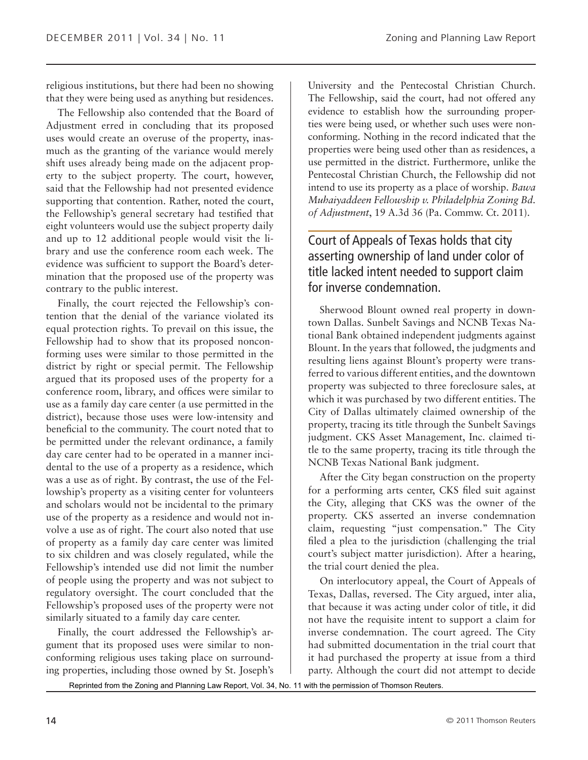religious institutions, but there had been no showing that they were being used as anything but residences.

The Fellowship also contended that the Board of Adjustment erred in concluding that its proposed uses would create an overuse of the property, inasmuch as the granting of the variance would merely shift uses already being made on the adjacent property to the subject property. The court, however, said that the Fellowship had not presented evidence supporting that contention. Rather, noted the court, the Fellowship's general secretary had testified that eight volunteers would use the subject property daily and up to 12 additional people would visit the library and use the conference room each week. The evidence was sufficient to support the Board's determination that the proposed use of the property was contrary to the public interest.

Finally, the court rejected the Fellowship's contention that the denial of the variance violated its equal protection rights. To prevail on this issue, the Fellowship had to show that its proposed nonconforming uses were similar to those permitted in the district by right or special permit. The Fellowship argued that its proposed uses of the property for a conference room, library, and offices were similar to use as a family day care center (a use permitted in the district), because those uses were low-intensity and beneficial to the community. The court noted that to be permitted under the relevant ordinance, a family day care center had to be operated in a manner incidental to the use of a property as a residence, which was a use as of right. By contrast, the use of the Fellowship's property as a visiting center for volunteers and scholars would not be incidental to the primary use of the property as a residence and would not involve a use as of right. The court also noted that use of property as a family day care center was limited to six children and was closely regulated, while the Fellowship's intended use did not limit the number of people using the property and was not subject to regulatory oversight. The court concluded that the Fellowship's proposed uses of the property were not similarly situated to a family day care center.

Finally, the court addressed the Fellowship's argument that its proposed uses were similar to nonconforming religious uses taking place on surrounding properties, including those owned by St. Joseph's

University and the Pentecostal Christian Church. The Fellowship, said the court, had not offered any evidence to establish how the surrounding properties were being used, or whether such uses were nonconforming. Nothing in the record indicated that the properties were being used other than as residences, a use permitted in the district. Furthermore, unlike the Pentecostal Christian Church, the Fellowship did not intend to use its property as a place of worship. *Bawa Muhaiyaddeen Fellowship v. Philadelphia Zoning Bd. of Adjustment*, 19 A.3d 36 (Pa. Commw. Ct. 2011).

### Court of Appeals of Texas holds that city asserting ownership of land under color of title lacked intent needed to support claim for inverse condemnation.

Sherwood Blount owned real property in downtown Dallas. Sunbelt Savings and NCNB Texas National Bank obtained independent judgments against Blount. In the years that followed, the judgments and resulting liens against Blount's property were transferred to various different entities, and the downtown property was subjected to three foreclosure sales, at which it was purchased by two different entities. The City of Dallas ultimately claimed ownership of the property, tracing its title through the Sunbelt Savings judgment. CKS Asset Management, Inc. claimed title to the same property, tracing its title through the NCNB Texas National Bank judgment.

After the City began construction on the property for a performing arts center, CKS filed suit against the City, alleging that CKS was the owner of the property. CKS asserted an inverse condemnation claim, requesting "just compensation." The City filed a plea to the jurisdiction (challenging the trial court's subject matter jurisdiction). After a hearing, the trial court denied the plea.

On interlocutory appeal, the Court of Appeals of Texas, Dallas, reversed. The City argued, inter alia, that because it was acting under color of title, it did not have the requisite intent to support a claim for inverse condemnation. The court agreed. The City had submitted documentation in the trial court that it had purchased the property at issue from a third party. Although the court did not attempt to decide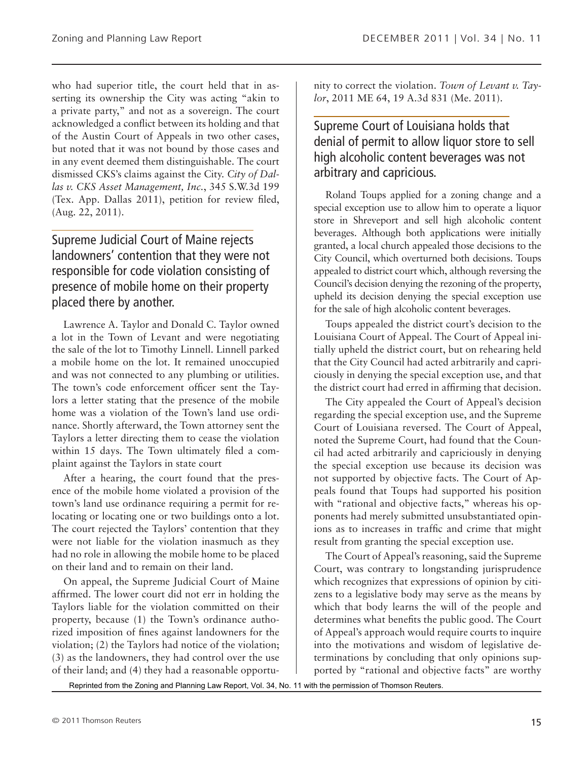who had superior title, the court held that in asserting its ownership the City was acting "akin to a private party," and not as a sovereign. The court acknowledged a conflict between its holding and that of the Austin Court of Appeals in two other cases, but noted that it was not bound by those cases and in any event deemed them distinguishable. The court dismissed CKS's claims against the City. *City of Dallas v. CKS Asset Management, Inc.*, 345 S.W.3d 199 (Tex. App. Dallas 2011), petition for review filed, (Aug. 22, 2011).

### Supreme Judicial Court of Maine rejects landowners' contention that they were not responsible for code violation consisting of presence of mobile home on their property placed there by another.

Lawrence A. Taylor and Donald C. Taylor owned a lot in the Town of Levant and were negotiating the sale of the lot to Timothy Linnell. Linnell parked a mobile home on the lot. It remained unoccupied and was not connected to any plumbing or utilities. The town's code enforcement officer sent the Taylors a letter stating that the presence of the mobile home was a violation of the Town's land use ordinance. Shortly afterward, the Town attorney sent the Taylors a letter directing them to cease the violation within 15 days. The Town ultimately filed a complaint against the Taylors in state court

After a hearing, the court found that the presence of the mobile home violated a provision of the town's land use ordinance requiring a permit for relocating or locating one or two buildings onto a lot. The court rejected the Taylors' contention that they were not liable for the violation inasmuch as they had no role in allowing the mobile home to be placed on their land and to remain on their land.

On appeal, the Supreme Judicial Court of Maine affirmed. The lower court did not err in holding the Taylors liable for the violation committed on their property, because (1) the Town's ordinance authorized imposition of fines against landowners for the violation; (2) the Taylors had notice of the violation; (3) as the landowners, they had control over the use of their land; and (4) they had a reasonable opportunity to correct the violation. *Town of Levant v. Taylor*, 2011 ME 64, 19 A.3d 831 (Me. 2011).

### Supreme Court of Louisiana holds that denial of permit to allow liquor store to sell high alcoholic content beverages was not arbitrary and capricious.

Roland Toups applied for a zoning change and a special exception use to allow him to operate a liquor store in Shreveport and sell high alcoholic content beverages. Although both applications were initially granted, a local church appealed those decisions to the City Council, which overturned both decisions. Toups appealed to district court which, although reversing the Council's decision denying the rezoning of the property, upheld its decision denying the special exception use for the sale of high alcoholic content beverages.

Toups appealed the district court's decision to the Louisiana Court of Appeal. The Court of Appeal initially upheld the district court, but on rehearing held that the City Council had acted arbitrarily and capriciously in denying the special exception use, and that the district court had erred in affirming that decision.

The City appealed the Court of Appeal's decision regarding the special exception use, and the Supreme Court of Louisiana reversed. The Court of Appeal, noted the Supreme Court, had found that the Council had acted arbitrarily and capriciously in denying the special exception use because its decision was not supported by objective facts. The Court of Appeals found that Toups had supported his position with "rational and objective facts," whereas his opponents had merely submitted unsubstantiated opinions as to increases in traffic and crime that might result from granting the special exception use.

The Court of Appeal's reasoning, said the Supreme Court, was contrary to longstanding jurisprudence which recognizes that expressions of opinion by citizens to a legislative body may serve as the means by which that body learns the will of the people and determines what benefits the public good. The Court of Appeal's approach would require courts to inquire into the motivations and wisdom of legislative determinations by concluding that only opinions supported by "rational and objective facts" are worthy